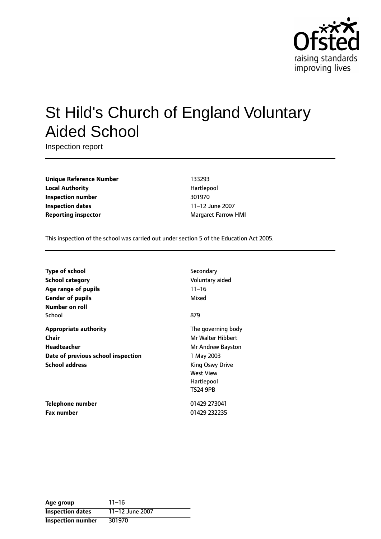

# St Hild's Church of England Voluntary Aided School

Inspection report

**Unique Reference Number** 133293 **Local Authority Hartlepool Inspection number** 301970 **Inspection dates** 11-12 June 2007 **Reporting inspector** Margaret Farrow HMI

This inspection of the school was carried out under section 5 of the Education Act 2005.

| <b>Type of school</b>              | Secondary          |
|------------------------------------|--------------------|
| <b>School category</b>             | Voluntary aided    |
| Age range of pupils                | $11 - 16$          |
| <b>Gender of pupils</b>            | Mixed              |
| Number on roll                     |                    |
| School                             | 879                |
| <b>Appropriate authority</b>       | The governing body |
| Chair                              | Mr Walter Hibbert  |
| Headteacher                        | Mr Andrew Bayston  |
| Date of previous school inspection | 1 May 2003         |
| <b>School address</b>              | King Oswy Drive    |
|                                    | West View          |
|                                    | Hartlepool         |
|                                    | <b>TS24 9PB</b>    |
| Telephone number                   | 01429 273041       |
| <b>Fax number</b>                  | 01429 232235       |

| Age group                | $11 - 16$       |
|--------------------------|-----------------|
| <b>Inspection dates</b>  | 11-12 June 2007 |
| <b>Inspection number</b> | 301970          |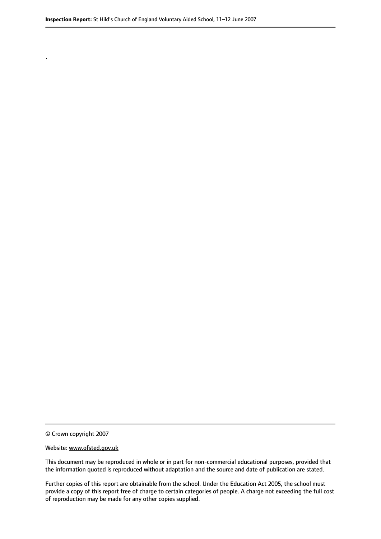© Crown copyright 2007

.

#### Website: www.ofsted.gov.uk

This document may be reproduced in whole or in part for non-commercial educational purposes, provided that the information quoted is reproduced without adaptation and the source and date of publication are stated.

Further copies of this report are obtainable from the school. Under the Education Act 2005, the school must provide a copy of this report free of charge to certain categories of people. A charge not exceeding the full cost of reproduction may be made for any other copies supplied.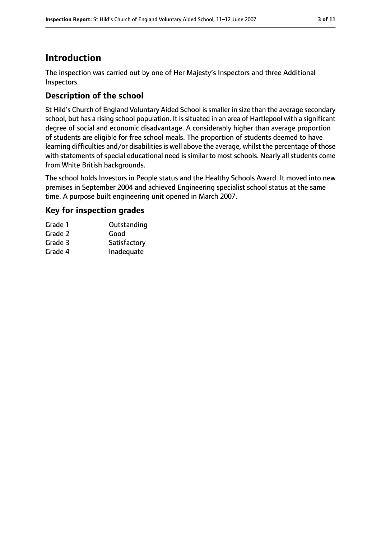# **Introduction**

The inspection was carried out by one of Her Majesty's Inspectors and three Additional Inspectors.

### **Description of the school**

St Hild's Church of England Voluntary Aided School issmaller in size than the average secondary school, but has a rising school population. It is situated in an area of Hartlepool with a significant degree of social and economic disadvantage. A considerably higher than average proportion of students are eligible for free school meals. The proportion of students deemed to have learning difficulties and/or disabilities is well above the average, whilst the percentage of those with statements of special educational need is similar to most schools. Nearly all students come from White British backgrounds.

The school holds Investors in People status and the Healthy Schools Award. It moved into new premises in September 2004 and achieved Engineering specialist school status at the same time. A purpose built engineering unit opened in March 2007.

### **Key for inspection grades**

| Grade 1 | Outstanding  |
|---------|--------------|
| Grade 2 | Good         |
| Grade 3 | Satisfactory |
| Grade 4 | Inadequate   |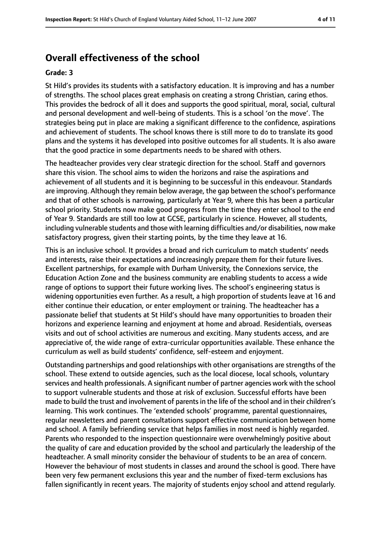## **Overall effectiveness of the school**

#### **Grade: 3**

St Hild's provides its students with a satisfactory education. It is improving and has a number of strengths. The school places great emphasis on creating a strong Christian, caring ethos. This provides the bedrock of all it does and supports the good spiritual, moral, social, cultural and personal development and well-being of students. This is a school 'on the move'. The strategies being put in place are making a significant difference to the confidence, aspirations and achievement of students. The school knows there is still more to do to translate its good plans and the systems it has developed into positive outcomes for all students. It is also aware that the good practice in some departments needs to be shared with others.

The headteacher provides very clear strategic direction for the school. Staff and governors share this vision. The school aims to widen the horizons and raise the aspirations and achievement of all students and it is beginning to be successful in this endeavour. Standards are improving. Although they remain below average, the gap between the school's performance and that of other schools is narrowing, particularly at Year 9, where this has been a particular school priority. Students now make good progress from the time they enter school to the end of Year 9. Standards are still too low at GCSE, particularly in science. However, all students, including vulnerable students and those with learning difficulties and/or disabilities, now make satisfactory progress, given their starting points, by the time they leave at 16.

This is an inclusive school. It provides a broad and rich curriculum to match students' needs and interests, raise their expectations and increasingly prepare them for their future lives. Excellent partnerships, for example with Durham University, the Connexions service, the Education Action Zone and the business community are enabling students to access a wide range of options to support their future working lives. The school's engineering status is widening opportunities even further. As a result, a high proportion of students leave at 16 and either continue their education, or enter employment or training. The headteacher has a passionate belief that students at St Hild's should have many opportunities to broaden their horizons and experience learning and enjoyment at home and abroad. Residentials, overseas visits and out of school activities are numerous and exciting. Many students access, and are appreciative of, the wide range of extra-curricular opportunities available. These enhance the curriculum as well as build students' confidence, self-esteem and enjoyment.

Outstanding partnerships and good relationships with other organisations are strengths of the school. These extend to outside agencies, such as the local diocese, local schools, voluntary services and health professionals. A significant number of partner agencies work with the school to support vulnerable students and those at risk of exclusion. Successful efforts have been made to build the trust and involvement of parents in the life of the school and in their children's learning. This work continues. The 'extended schools' programme, parental questionnaires, regular newsletters and parent consultations support effective communication between home and school. A family befriending service that helps families in most need is highly regarded. Parents who responded to the inspection questionnaire were overwhelmingly positive about the quality of care and education provided by the school and particularly the leadership of the headteacher. A small minority consider the behaviour of students to be an area of concern. However the behaviour of most students in classes and around the school is good. There have been very few permanent exclusions this year and the number of fixed-term exclusions has fallen significantly in recent years. The majority of students enjoy school and attend regularly.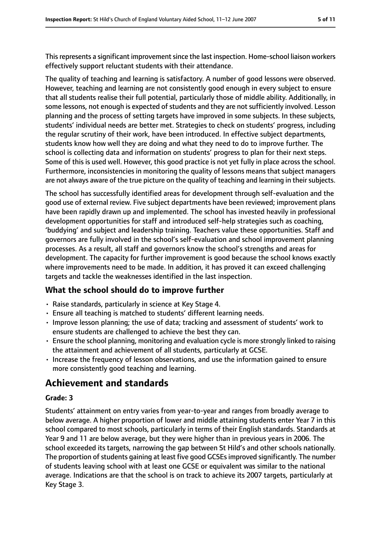This represents a significant improvement since the last inspection. Home-school liaison workers effectively support reluctant students with their attendance.

The quality of teaching and learning is satisfactory. A number of good lessons were observed. However, teaching and learning are not consistently good enough in every subject to ensure that all students realise their full potential, particularly those of middle ability. Additionally, in some lessons, not enough is expected of students and they are not sufficiently involved. Lesson planning and the process of setting targets have improved in some subjects. In these subjects, students' individual needs are better met. Strategies to check on students' progress, including the regular scrutiny of their work, have been introduced. In effective subject departments, students know how well they are doing and what they need to do to improve further. The school is collecting data and information on students' progress to plan for their next steps. Some of this is used well. However, this good practice is not yet fully in place across the school. Furthermore, inconsistencies in monitoring the quality of lessons means that subject managers are not always aware of the true picture on the quality of teaching and learning in their subjects.

The school has successfully identified areas for development through self-evaluation and the good use of external review. Five subject departments have been reviewed; improvement plans have been rapidly drawn up and implemented. The school has invested heavily in professional development opportunities for staff and introduced self-help strategies such as coaching, 'buddying' and subject and leadership training. Teachers value these opportunities. Staff and governors are fully involved in the school's self-evaluation and school improvement planning processes. As a result, all staff and governors know the school's strengths and areas for development. The capacity for further improvement is good because the school knows exactly where improvements need to be made. In addition, it has proved it can exceed challenging targets and tackle the weaknesses identified in the last inspection.

#### **What the school should do to improve further**

- Raise standards, particularly in science at Key Stage 4.
- Ensure all teaching is matched to students' different learning needs.
- Improve lesson planning; the use of data; tracking and assessment of students' work to ensure students are challenged to achieve the best they can.
- Ensure the school planning, monitoring and evaluation cycle is more strongly linked to raising the attainment and achievement of all students, particularly at GCSE.
- Increase the frequency of lesson observations, and use the information gained to ensure more consistently good teaching and learning.

### **Achievement and standards**

#### **Grade: 3**

Students' attainment on entry varies from year-to-year and ranges from broadly average to below average. A higher proportion of lower and middle attaining students enter Year 7 in this school compared to most schools, particularly in terms of their English standards. Standards at Year 9 and 11 are below average, but they were higher than in previous years in 2006. The school exceeded its targets, narrowing the gap between St Hild's and other schools nationally. The proportion of students gaining at least five good GCSEs improved significantly. The number of students leaving school with at least one GCSE or equivalent was similar to the national average. Indications are that the school is on track to achieve its 2007 targets, particularly at Key Stage 3.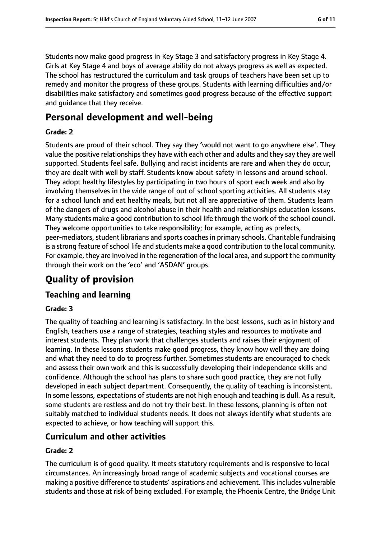Students now make good progress in Key Stage 3 and satisfactory progress in Key Stage 4. Girls at Key Stage 4 and boys of average ability do not always progress as well as expected. The school has restructured the curriculum and task groups of teachers have been set up to remedy and monitor the progress of these groups. Students with learning difficulties and/or disabilities make satisfactory and sometimes good progress because of the effective support and guidance that they receive.

# **Personal development and well-being**

#### **Grade: 2**

Students are proud of their school. They say they 'would not want to go anywhere else'. They value the positive relationships they have with each other and adults and they say they are well supported. Students feel safe. Bullying and racist incidents are rare and when they do occur, they are dealt with well by staff. Students know about safety in lessons and around school. They adopt healthy lifestyles by participating in two hours of sport each week and also by involving themselves in the wide range of out of school sporting activities. All students stay for a school lunch and eat healthy meals, but not all are appreciative of them. Students learn of the dangers of drugs and alcohol abuse in their health and relationships education lessons. Many students make a good contribution to school life through the work of the school council. They welcome opportunities to take responsibility; for example, acting as prefects, peer-mediators, student librarians and sports coaches in primary schools. Charitable fundraising is a strong feature of school life and students make a good contribution to the local community. For example, they are involved in the regeneration of the local area, and support the community through their work on the 'eco' and 'ASDAN' groups.

# **Quality of provision**

### **Teaching and learning**

#### **Grade: 3**

The quality of teaching and learning is satisfactory. In the best lessons, such as in history and English, teachers use a range of strategies, teaching styles and resources to motivate and interest students. They plan work that challenges students and raises their enjoyment of learning. In these lessons students make good progress, they know how well they are doing and what they need to do to progress further. Sometimes students are encouraged to check and assess their own work and this is successfully developing their independence skills and confidence. Although the school has plans to share such good practice, they are not fully developed in each subject department. Consequently, the quality of teaching is inconsistent. In some lessons, expectations of students are not high enough and teaching is dull. As a result, some students are restless and do not try their best. In these lessons, planning is often not suitably matched to individual students needs. It does not always identify what students are expected to achieve, or how teaching will support this.

### **Curriculum and other activities**

#### **Grade: 2**

The curriculum is of good quality. It meets statutory requirements and is responsive to local circumstances. An increasingly broad range of academic subjects and vocational courses are making a positive difference to students' aspirations and achievement. Thisincludes vulnerable students and those at risk of being excluded. For example, the Phoenix Centre, the Bridge Unit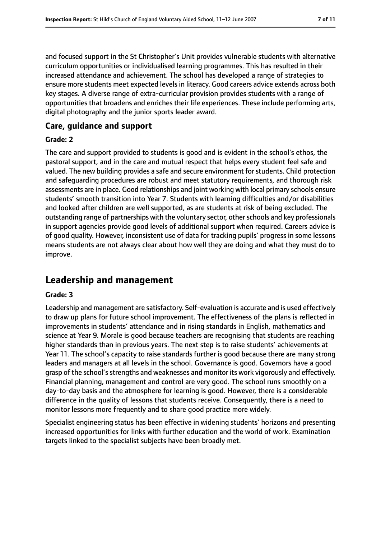and focused support in the St Christopher's Unit provides vulnerable students with alternative curriculum opportunities or individualised learning programmes. This has resulted in their increased attendance and achievement. The school has developed a range of strategies to ensure more students meet expected levels in literacy. Good careers advice extends across both key stages. A diverse range of extra-curricular provision provides students with a range of opportunities that broadens and enriches their life experiences. These include performing arts, digital photography and the junior sports leader award.

#### **Care, guidance and support**

#### **Grade: 2**

The care and support provided to students is good and is evident in the school's ethos, the pastoral support, and in the care and mutual respect that helps every student feel safe and valued. The new building provides a safe and secure environment for students. Child protection and safeguarding procedures are robust and meet statutory requirements, and thorough risk assessments are in place. Good relationships and joint working with local primary schools ensure students' smooth transition into Year 7. Students with learning difficulties and/or disabilities and looked after children are well supported, as are students at risk of being excluded. The outstanding range of partnerships with the voluntary sector, other schools and key professionals in support agencies provide good levels of additional support when required. Careers advice is of good quality. However, inconsistent use of data for tracking pupils' progress in some lessons means students are not always clear about how well they are doing and what they must do to improve.

### **Leadership and management**

#### **Grade: 3**

Leadership and management are satisfactory. Self-evaluation is accurate and is used effectively to draw up plans for future school improvement. The effectiveness of the plans is reflected in improvements in students' attendance and in rising standards in English, mathematics and science at Year 9. Morale is good because teachers are recognising that students are reaching higher standards than in previous years. The next step is to raise students' achievements at Year 11. The school's capacity to raise standards further is good because there are many strong leaders and managers at all levels in the school. Governance is good. Governors have a good grasp of the school'sstrengths and weaknesses and monitor its work vigorously and effectively. Financial planning, management and control are very good. The school runs smoothly on a day-to-day basis and the atmosphere for learning is good. However, there is a considerable difference in the quality of lessons that students receive. Consequently, there is a need to monitor lessons more frequently and to share good practice more widely.

Specialist engineering status has been effective in widening students' horizons and presenting increased opportunities for links with further education and the world of work. Examination targets linked to the specialist subjects have been broadly met.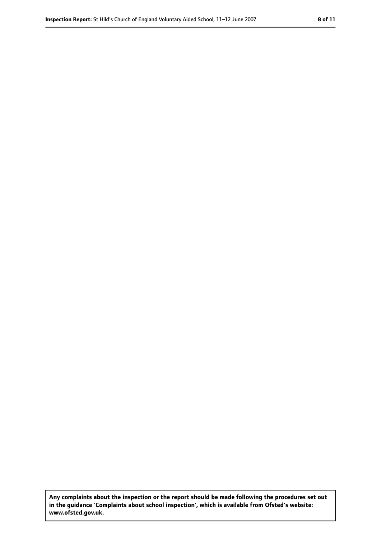**Any complaints about the inspection or the report should be made following the procedures set out in the guidance 'Complaints about school inspection', which is available from Ofsted's website: www.ofsted.gov.uk.**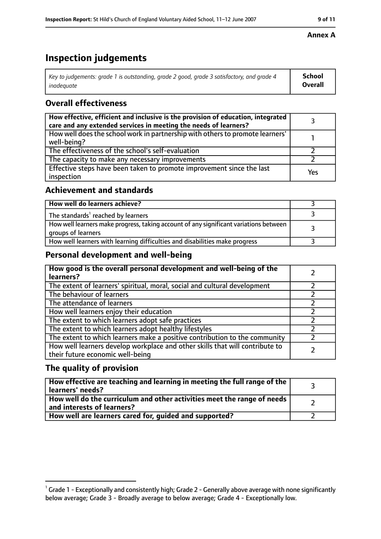# **Inspection judgements**

| $^{\circ}$ Key to judgements: grade 1 is outstanding, grade 2 good, grade 3 satisfactory, and grade 4 $^{\circ}$ | School         |
|------------------------------------------------------------------------------------------------------------------|----------------|
| inadeauate                                                                                                       | <b>Overall</b> |

### **Overall effectiveness**

| How effective, efficient and inclusive is the provision of education, integrated<br>care and any extended services in meeting the needs of learners? |     |
|------------------------------------------------------------------------------------------------------------------------------------------------------|-----|
| How well does the school work in partnership with others to promote learners'<br>well-being?                                                         |     |
| The effectiveness of the school's self-evaluation                                                                                                    |     |
| The capacity to make any necessary improvements                                                                                                      |     |
| Effective steps have been taken to promote improvement since the last<br>inspection                                                                  | Yes |

### **Achievement and standards**

| How well do learners achieve?                                                                               |  |
|-------------------------------------------------------------------------------------------------------------|--|
| The standards <sup>1</sup> reached by learners                                                              |  |
| How well learners make progress, taking account of any significant variations between<br>groups of learners |  |
| How well learners with learning difficulties and disabilities make progress                                 |  |

### **Personal development and well-being**

| How good is the overall personal development and well-being of the<br>learners?                                  |  |
|------------------------------------------------------------------------------------------------------------------|--|
| The extent of learners' spiritual, moral, social and cultural development                                        |  |
| The behaviour of learners                                                                                        |  |
| The attendance of learners                                                                                       |  |
| How well learners enjoy their education                                                                          |  |
| The extent to which learners adopt safe practices                                                                |  |
| The extent to which learners adopt healthy lifestyles                                                            |  |
| The extent to which learners make a positive contribution to the community                                       |  |
| How well learners develop workplace and other skills that will contribute to<br>their future economic well-being |  |

### **The quality of provision**

| How effective are teaching and learning in meeting the full range of the<br>learners' needs?          |  |
|-------------------------------------------------------------------------------------------------------|--|
| How well do the curriculum and other activities meet the range of needs<br>and interests of learners? |  |
| How well are learners cared for, guided and supported?                                                |  |

#### **Annex A**

 $^1$  Grade 1 - Exceptionally and consistently high; Grade 2 - Generally above average with none significantly below average; Grade 3 - Broadly average to below average; Grade 4 - Exceptionally low.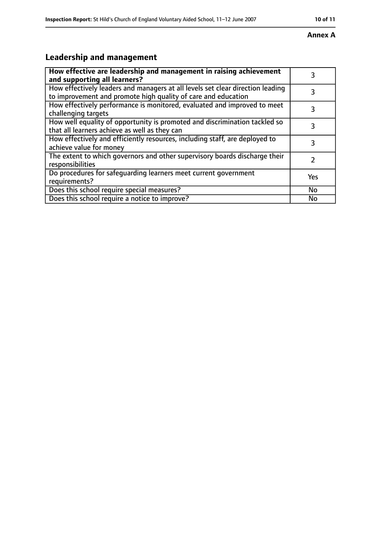# **Leadership and management**

| How effective are leadership and management in raising achievement<br>and supporting all learners?                                              | 3             |
|-------------------------------------------------------------------------------------------------------------------------------------------------|---------------|
| How effectively leaders and managers at all levels set clear direction leading<br>to improvement and promote high quality of care and education | 3             |
| How effectively performance is monitored, evaluated and improved to meet<br>challenging targets                                                 | 3             |
| How well equality of opportunity is promoted and discrimination tackled so<br>that all learners achieve as well as they can                     | 3             |
| How effectively and efficiently resources, including staff, are deployed to<br>achieve value for money                                          | 3             |
| The extent to which governors and other supervisory boards discharge their<br>responsibilities                                                  | $\mathcal{P}$ |
| Do procedures for safequarding learners meet current government<br>requirements?                                                                | Yes           |
| Does this school require special measures?                                                                                                      | <b>No</b>     |
| Does this school require a notice to improve?                                                                                                   | <b>No</b>     |

#### **Annex A**